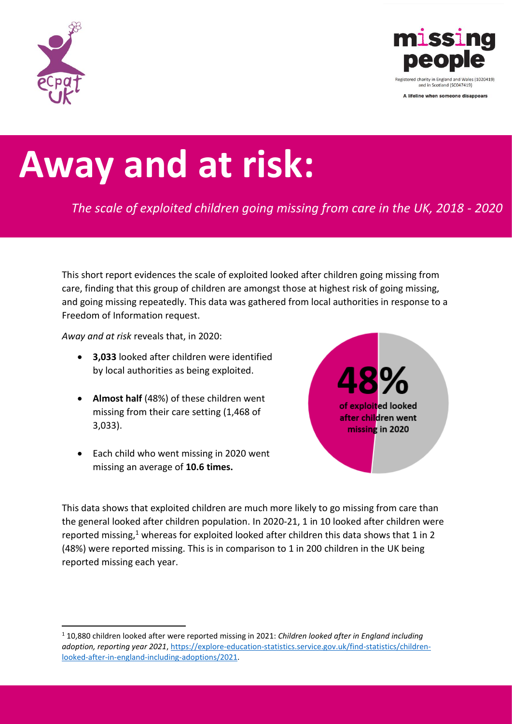



A lifeline when someone disappears

## **Away and at risk:**

*The scale of exploited children going missing from care in the UK, 2018 - 2020*

This short report evidences the scale of exploited looked after children going missing from care, finding that this group of children are amongst those at highest risk of going missing, and going missing repeatedly. This data was gathered from local authorities in response to a Freedom of Information request.

*Away and at risk* reveals that, in 2020:

- **3,033** looked after children were identified by local authorities as being exploited.
- **Almost half** (48%) of these children went missing from their care setting (1,468 of 3,033).
- Each child who went missing in 2020 went missing an average of **10.6 times.**



This data shows that exploited children are much more likely to go missing from care than the general looked after children population. In 2020-21, 1 in 10 looked after children were reported missing, $1$  whereas for exploited looked after children this data shows that 1 in 2 (48%) were reported missing. This is in comparison to 1 in 200 children in the UK being reported missing each year.

<sup>1</sup> 10,880 children looked after were reported missing in 2021: *Children looked after in England including adoption, reporting year 2021*[, https://explore-education-statistics.service.gov.uk/find-statistics/children](https://explore-education-statistics.service.gov.uk/find-statistics/children-looked-after-in-england-including-adoptions/2021)[looked-after-in-england-including-adoptions/2021.](https://explore-education-statistics.service.gov.uk/find-statistics/children-looked-after-in-england-including-adoptions/2021)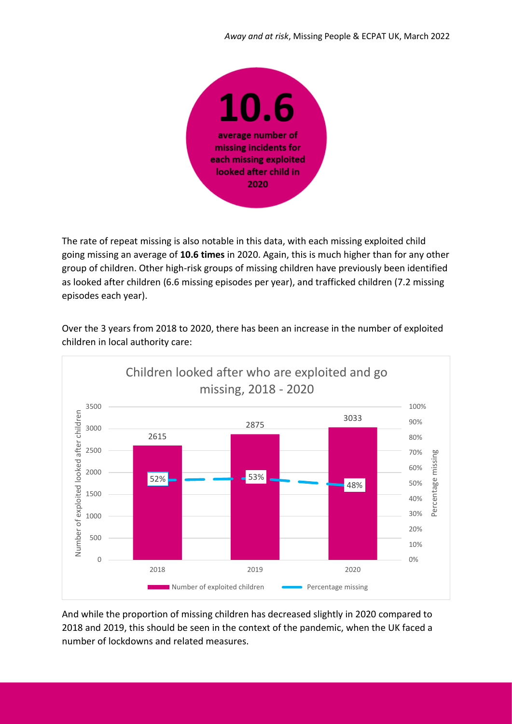

The rate of repeat missing is also notable in this data, with each missing exploited child going missing an average of **10.6 times** in 2020. Again, this is much higher than for any other group of children. Other high-risk groups of missing children have previously been identified as looked after children (6.6 missing episodes per year), and trafficked children (7.2 missing episodes each year).



Over the 3 years from 2018 to 2020, there has been an increase in the number of exploited children in local authority care:

And while the proportion of missing children has decreased slightly in 2020 compared to 2018 and 2019, this should be seen in the context of the pandemic, when the UK faced a number of lockdowns and related measures.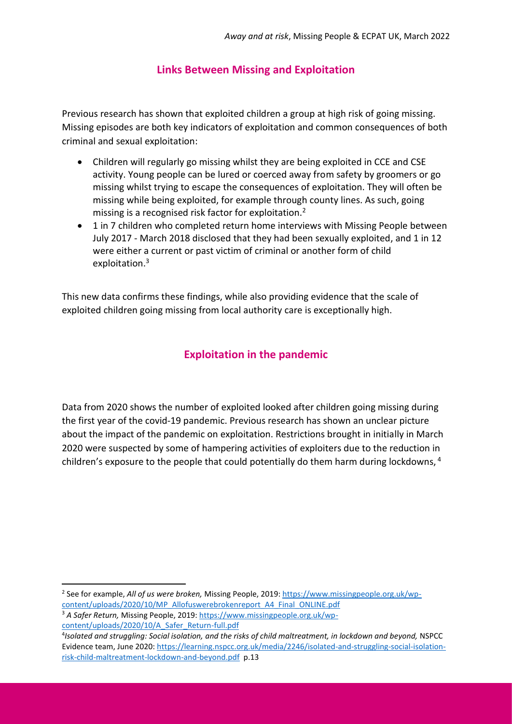## **Links Between Missing and Exploitation**

Previous research has shown that exploited children a group at high risk of going missing. Missing episodes are both key indicators of exploitation and common consequences of both criminal and sexual exploitation:

- Children will regularly go missing whilst they are being exploited in CCE and CSE activity. Young people can be lured or coerced away from safety by groomers or go missing whilst trying to escape the consequences of exploitation. They will often be missing while being exploited, for example through county lines. As such, going missing is a recognised risk factor for exploitation.<sup>2</sup>
- 1 in 7 children who completed return home interviews with Missing People between July 2017 - March 2018 disclosed that they had been sexually exploited, and 1 in 12 were either a current or past victim of criminal or another form of child exploitation. 3

This new data confirms these findings, while also providing evidence that the scale of exploited children going missing from local authority care is exceptionally high.

## **Exploitation in the pandemic**

Data from 2020 shows the number of exploited looked after children going missing during the first year of the covid-19 pandemic. Previous research has shown an unclear picture about the impact of the pandemic on exploitation. Restrictions brought in initially in March 2020 were suspected by some of hampering activities of exploiters due to the reduction in children's exposure to the people that could potentially do them harm during lockdowns, <sup>4</sup>

2 See for example, *All of us were broken,* Missing People, 2019[: https://www.missingpeople.org.uk/wp](https://www.missingpeople.org.uk/wp-content/uploads/2020/10/MP_Allofuswerebrokenreport_A4_Final_ONLINE.pdf)[content/uploads/2020/10/MP\\_Allofuswerebrokenreport\\_A4\\_Final\\_ONLINE.pdf](https://www.missingpeople.org.uk/wp-content/uploads/2020/10/MP_Allofuswerebrokenreport_A4_Final_ONLINE.pdf)

<sup>3</sup> *A Safer Return,* Missing People, 2019: [https://www.missingpeople.org.uk/wp](https://www.missingpeople.org.uk/wp-content/uploads/2020/10/A_Safer_Return-full.pdf)[content/uploads/2020/10/A\\_Safer\\_Return-full.pdf](https://www.missingpeople.org.uk/wp-content/uploads/2020/10/A_Safer_Return-full.pdf)

<sup>4</sup> *Isolated and struggling: Social isolation, and the risks of child maltreatment, in lockdown and beyond,* NSPCC Evidence team, June 2020[: https://learning.nspcc.org.uk/media/2246/isolated-and-struggling-social-isolation](https://learning.nspcc.org.uk/media/2246/isolated-and-struggling-social-isolation-risk-child-maltreatment-lockdown-and-beyond.pdf)[risk-child-maltreatment-lockdown-and-beyond.pdf](https://learning.nspcc.org.uk/media/2246/isolated-and-struggling-social-isolation-risk-child-maltreatment-lockdown-and-beyond.pdf) p.13